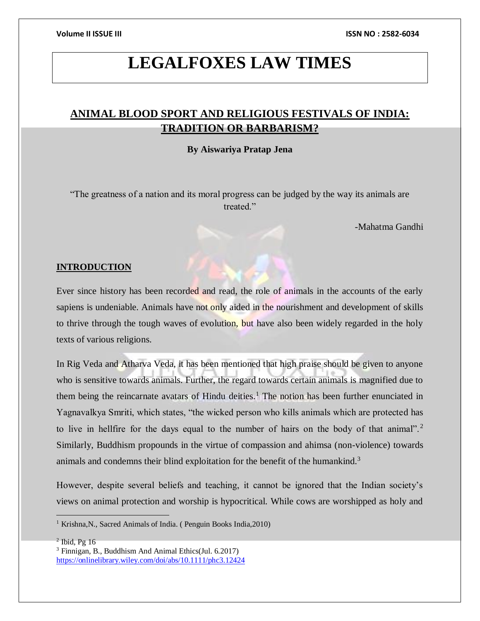# **LEGALFOXES LAW TIMES**

# **ANIMAL BLOOD SPORT AND RELIGIOUS FESTIVALS OF INDIA: TRADITION OR BARBARISM?**

### **By Aiswariya Pratap Jena**

"The greatness of a nation and its moral progress can be judged by the way its animals are treated."

-Mahatma Gandhi

## **INTRODUCTION**

Ever since history has been recorded and read, the role of animals in the accounts of the early sapiens is undeniable. Animals have not only aided in the nourishment and development of skills to thrive through the tough waves of evolution, but have also been widely regarded in the holy texts of various religions.

In Rig Veda and Atharva Veda, it has been mentioned that high praise should be given to anyone who is sensitive towards animals. Further, the regard towards certain animals is magnified due to them being the reincarnate avatars of Hindu deities.<sup>1</sup> The notion has been further enunciated in Yagnavalkya Smriti, which states, "the wicked person who kills animals which are protected has to live in hellfire for the days equal to the number of hairs on the body of that animal".<sup>2</sup> Similarly, Buddhism propounds in the virtue of compassion and ahimsa (non-violence) towards animals and condemns their blind exploitation for the benefit of the humankind.<sup>3</sup>

However, despite several beliefs and teaching, it cannot be ignored that the Indian society's views on animal protection and worship is hypocritical. While cows are worshipped as holy and

 $2$  Ibid, Pg 16

 $\overline{a}$ 

<sup>3</sup> Finnigan, B., Buddhism And Animal Ethics(Jul. 6.2017) <https://onlinelibrary.wiley.com/doi/abs/10.1111/phc3.12424>

<sup>&</sup>lt;sup>1</sup> Krishna, N., Sacred Animals of India. (Penguin Books India, 2010)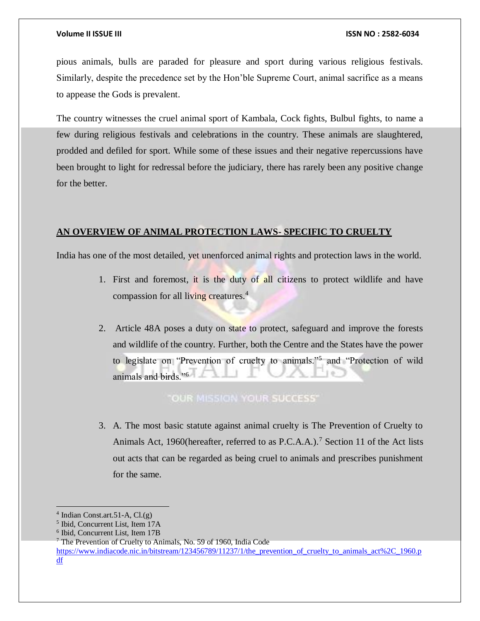pious animals, bulls are paraded for pleasure and sport during various religious festivals. Similarly, despite the precedence set by the Hon'ble Supreme Court, animal sacrifice as a means to appease the Gods is prevalent.

The country witnesses the cruel animal sport of Kambala, Cock fights, Bulbul fights, to name a few during religious festivals and celebrations in the country. These animals are slaughtered, prodded and defiled for sport. While some of these issues and their negative repercussions have been brought to light for redressal before the judiciary, there has rarely been any positive change for the better.

## **AN OVERVIEW OF ANIMAL PROTECTION LAWS- SPECIFIC TO CRUELTY**

India has one of the most detailed, yet unenforced animal rights and protection laws in the world.

- 1. First and foremost, it is the duty of all citizens to protect wildlife and have compassion for all living creatures.<sup>4</sup>
- 2. Article 48A poses a duty on state to protect, safeguard and improve the forests and wildlife of the country. Further, both the Centre and the States have the power to legislate on "Prevention of cruelty to animals."<sup>5</sup> and "Protection of wild animals and birds."<sup>6</sup>

"OUR MISSION YOUR SUCCESS"

3. A. The most basic statute against animal cruelty is The Prevention of Cruelty to Animals Act, 1960(hereafter, referred to as P.C.A.A.).<sup>7</sup> Section 11 of the Act lists out acts that can be regarded as being cruel to animals and prescribes punishment for the same.

<sup>4</sup> Indian Const.art.51-A, Cl.(g)

<sup>5</sup> Ibid, Concurrent List, Item 17A

<sup>6</sup> Ibid, Concurrent List, Item 17B

<sup>7</sup> The Prevention of Cruelty to Animals, No. 59 of 1960, India Code

[https://www.indiacode.nic.in/bitstream/123456789/11237/1/the\\_prevention\\_of\\_cruelty\\_to\\_animals\\_act%2C\\_1960.p](https://www.indiacode.nic.in/bitstream/123456789/11237/1/the_prevention_of_cruelty_to_animals_act%2C_1960.pdf) [df](https://www.indiacode.nic.in/bitstream/123456789/11237/1/the_prevention_of_cruelty_to_animals_act%2C_1960.pdf)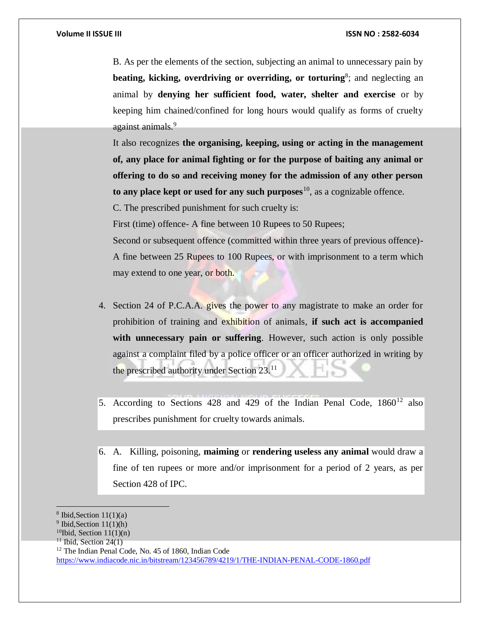B. As per the elements of the section, subjecting an animal to unnecessary pain by **beating, kicking, overdriving or overriding, or torturing<sup>8</sup>; and neglecting an** animal by **denying her sufficient food, water, shelter and exercise** or by keeping him chained/confined for long hours would qualify as forms of cruelty against animals.<sup>9</sup>

It also recognizes **the organising, keeping, using or acting in the management of, any place for animal fighting or for the purpose of baiting any animal or offering to do so and receiving money for the admission of any other person to any place kept or used for any such purposes**<sup>10</sup>, as a cognizable offence.

C. The prescribed punishment for such cruelty is:

First (time) offence- A fine between 10 Rupees to 50 Rupees;

Second or subsequent offence (committed within three years of previous offence)- A fine between 25 Rupees to 100 Rupees, or with imprisonment to a term which may extend to one year, or both.

- 4. Section 24 of P.C.A.A. gives the power to any magistrate to make an order for prohibition of training and exhibition of animals, **if such act is accompanied with unnecessary pain or suffering**. However, such action is only possible against a complaint filed by a police officer or an officer authorized in writing by the prescribed authority under Section 23.<sup>11</sup>
- 5. According to Sections 428 and 429 of the Indian Penal Code,  $1860^{12}$  also prescribes punishment for cruelty towards animals.
- 6. A. Killing, poisoning, **maiming** or **rendering useless any animal** would draw a fine of ten rupees or more and/or imprisonment for a period of 2 years, as per Section 428 of IPC.

 $8$  Ibid, Section 11(1)(a)

<sup>&</sup>lt;sup>9</sup> Ibid, Section  $11(1)(h)$ 

<sup>&</sup>lt;sup>10</sup>Ibid, Section  $11(1)(n)$ 

 $11$  Ibid, Section 24(1)

<sup>12</sup> The Indian Penal Code, No. 45 of 1860, Indian Code <https://www.indiacode.nic.in/bitstream/123456789/4219/1/THE-INDIAN-PENAL-CODE-1860.pdf>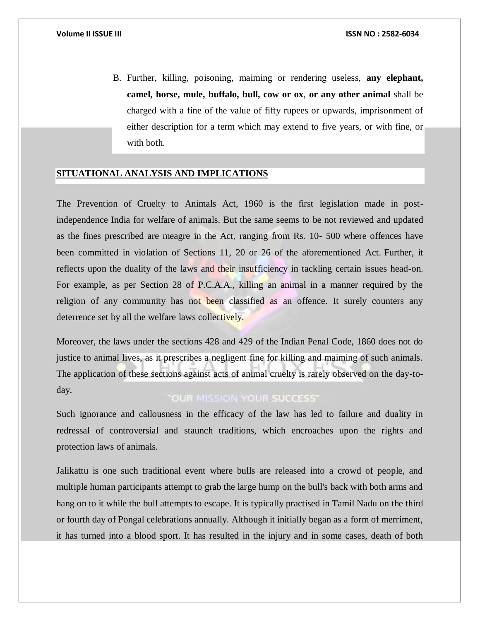B. Further, killing, poisoning, maiming or rendering useless, **any elephant, camel, horse, mule, buffalo, bull, cow or ox**, **or any other animal** shall be charged with a fine of the value of fifty rupees or upwards, imprisonment of either description for a term which may extend to five years, or with fine, or with both.

## **SITUATIONAL ANALYSIS AND IMPLICATIONS**

The Prevention of Cruelty to Animals Act, 1960 is the first legislation made in postindependence India for welfare of animals. But the same seems to be not reviewed and updated as the fines prescribed are meagre in the Act, ranging from Rs. 10- 500 where offences have been committed in violation of Sections 11, 20 or 26 of the aforementioned Act. Further, it reflects upon the duality of the laws and their insufficiency in tackling certain issues head-on. For example, as per Section 28 of P.C.A.A., killing an animal in a manner required by the religion of any community has not been classified as an offence. It surely counters any deterrence set by all the welfare laws collectively.

Moreover, the laws under the sections 428 and 429 of the Indian Penal Code, 1860 does not do justice to animal lives, as it prescribes a negligent fine for killing and maiming of such animals. The application of these sections against acts of animal cruelty is rarely observed on the day-today.

## **"OUR MISSION YOUR SUCCESS"**

Such ignorance and callousness in the efficacy of the law has led to failure and duality in redressal of controversial and staunch traditions, which encroaches upon the rights and protection laws of animals.

Jalikattu is one such traditional event where bulls are released into a crowd of people, and multiple human participants attempt to grab the large hump on the bull's back with both arms and hang on to it while the bull attempts to escape. It is typically practised in Tamil Nadu on the third or fourth day of Pongal celebrations annually. Although it initially began as a form of merriment, it has turned into a blood sport. It has resulted in the injury and in some cases, death of both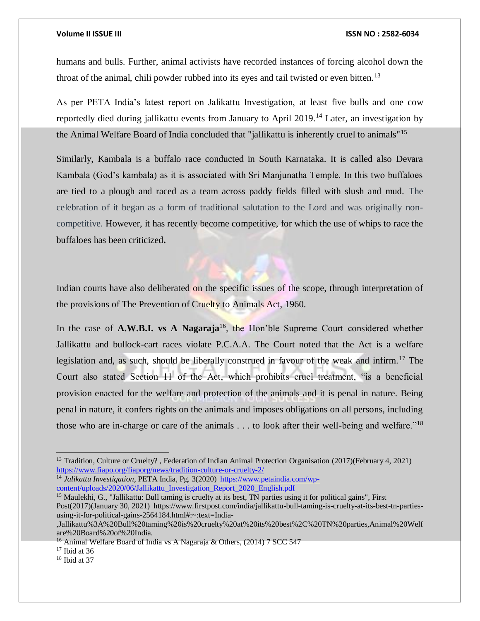humans and bulls. Further, animal activists have recorded instances of forcing alcohol down the throat of the animal, chili powder rubbed into its eyes and tail twisted or even bitten.<sup>13</sup>

As per PETA India's latest report on Jalikattu Investigation, at least five bulls and one cow reportedly died during jallikattu events from January to April 2019.<sup>14</sup> Later, an investigation by the Animal Welfare Board of India concluded that "jallikattu is inherently cruel to animals"<sup>15</sup>

Similarly, Kambala is a buffalo race conducted in South Karnataka. It is called also Devara Kambala (God's kambala) as it is associated with Sri Manjunatha Temple. In this two buffaloes are tied to a plough and raced as a team across paddy fields filled with slush and mud. The celebration of it began as a form of traditional salutation to the Lord and was originally noncompetitive. However, it has recently become competitive, for which the use of whips to race the buffaloes has been criticized**.** 

Indian courts have also deliberated on the specific issues of the scope, through interpretation of the provisions of The Prevention of Cruelty to Animals Act, 1960.

In the case of **A.W.B.I.** vs A Nagaraja<sup>16</sup>, the Hon'ble Supreme Court considered whether Jallikattu and bullock-cart races violate P.C.A.A. The Court noted that the Act is a welfare legislation and, as such, should be liberally construed in favour of the weak and infirm.<sup>17</sup> The Court also stated Section 11 of the Act, which prohibits cruel treatment, "is a beneficial provision enacted for the welfare and protection of the animals and it is penal in nature. Being penal in nature, it confers rights on the animals and imposes obligations on all persons, including those who are in-charge or care of the animals  $\dots$  to look after their well-being and welfare."<sup>18</sup>

<sup>14</sup> *Jalikattu Investigation*, PETA India, Pg. 3(2020) [https://www.petaindia.com/wp](https://www.petaindia.com/wp-content/uploads/2020/06/Jallikattu_Investigation_Report_2020_English.pdf)[content/uploads/2020/06/Jallikattu\\_Investigation\\_Report\\_2020\\_English.pdf](https://www.petaindia.com/wp-content/uploads/2020/06/Jallikattu_Investigation_Report_2020_English.pdf)

<sup>15</sup> Maulekhi, G., "Jallikattu: Bull taming is cruelty at its best. TN parties using it for political gains". First Post(2017)(January 30, 2021) https://www.firstpost.com/india/jallikattu-bull-taming-is-cruelty-at-its-best-tn-partiesusing-it-for-political-gains-2564184.html#:~:text=India-

<sup>16</sup> Animal Welfare Board of India vs A Nagaraja & Others, (2014) 7 SCC 547

<sup>&</sup>lt;sup>13</sup> Tradition, Culture or Cruelty?, Federation of Indian Animal Protection Organisation (2017)(February 4, 2021) <https://www.fiapo.org/fiaporg/news/tradition-culture-or-cruelty-2/>

<sup>,</sup>Jallikattu%3A%20Bull%20taming%20is%20cruelty%20at%20its%20best%2C%20TN%20parties,Animal%20Welf are%20Board%20of%20India.

 $17$  Ibid at 36

<sup>18</sup> Ibid at 37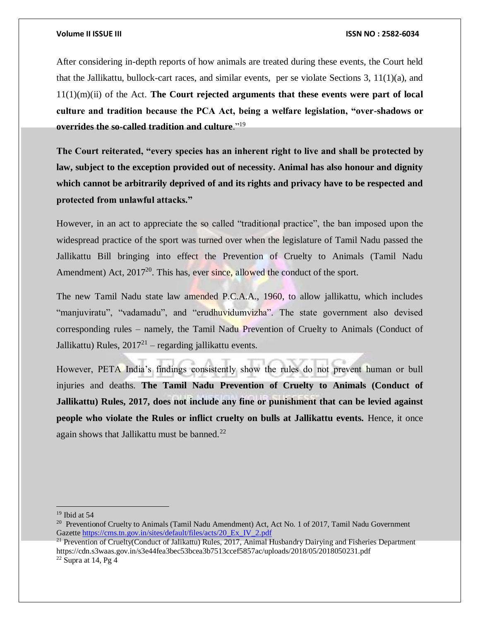### **Volume II ISSUE III ISSN NO : 2582-6034**

After considering in-depth reports of how animals are treated during these events, the Court held that the Jallikattu, bullock-cart races, and similar events, per se violate Sections  $3, 11(1)(a)$ , and 11(1)(m)(ii) of the Act. **The Court rejected arguments that these events were part of local culture and tradition because the PCA Act, being a welfare legislation, "over-shadows or overrides the so-called tradition and culture**."<sup>19</sup>

**The Court reiterated, "every species has an inherent right to live and shall be protected by law, subject to the exception provided out of necessity. Animal has also honour and dignity which cannot be arbitrarily deprived of and its rights and privacy have to be respected and protected from unlawful attacks."**

However, in an act to appreciate the so called "traditional practice", the ban imposed upon the widespread practice of the sport was turned over when the legislature of Tamil Nadu passed the Jallikattu Bill bringing into effect the Prevention of Cruelty to Animals (Tamil Nadu Amendment) Act,  $2017^{20}$ . This has, ever since, allowed the conduct of the sport.

The new Tamil Nadu state law amended P.C.A.A., 1960, to allow jallikattu, which includes "manjuviratu", "vadamadu", and "erudhuvidumvizha". The state government also devised corresponding rules – namely, the Tamil Nadu Prevention of Cruelty to Animals (Conduct of Jallikattu) Rules,  $2017^{21}$  – regarding jallikattu events.

However, PETA India's findings consistently show the rules do not prevent human or bull injuries and deaths. **The Tamil Nadu Prevention of Cruelty to Animals (Conduct of Jallikattu) Rules, 2017, does not include any fine or punishment that can be levied against people who violate the Rules or inflict cruelty on bulls at Jallikattu events.** Hence, it once again shows that Jallikattu must be banned.<sup>22</sup>

 $19$  Ibid at 54

<sup>&</sup>lt;sup>20</sup> Preventionof Cruelty to Animals (Tamil Nadu Amendment) Act, Act No. 1 of 2017, Tamil Nadu Government Gazette [https://cms.tn.gov.in/sites/default/files/acts/20\\_Ex\\_IV\\_2.pdf](https://cms.tn.gov.in/sites/default/files/acts/20_Ex_IV_2.pdf)

<sup>&</sup>lt;sup>21</sup> Prevention of Cruelty(Conduct of Jalikattu) Rules, 2017, Animal Husbandry Dairying and Fisheries Department https://cdn.s3waas.gov.in/s3e44fea3bec53bcea3b7513ccef5857ac/uploads/2018/05/2018050231.pdf  $22$  Supra at 14, Pg 4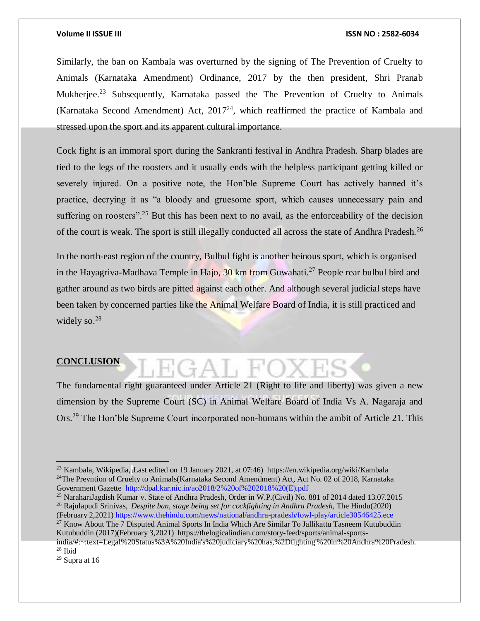Similarly, the ban on Kambala was overturned by the signing of The Prevention of Cruelty to Animals (Karnataka Amendment) Ordinance, 2017 by the then president, Shri Pranab Mukherjee.<sup>23</sup> Subsequently, Karnataka passed the The Prevention of Cruelty to Animals (Karnataka Second Amendment) Act,  $2017^{24}$ , which reaffirmed the practice of Kambala and stressed upon the sport and its apparent cultural importance.

Cock fight is an immoral sport during the Sankranti festival in Andhra Pradesh. Sharp blades are tied to the legs of the roosters and it usually ends with the helpless participant getting killed or severely injured. On a positive note, the Hon'ble Supreme Court has actively banned it's practice, decrying it as "a bloody and gruesome sport, which causes unnecessary pain and suffering on roosters".<sup>25</sup> But this has been next to no avail, as the enforceability of the decision of the court is weak. The sport is still illegally conducted all across the state of Andhra Pradesh.<sup>26</sup>

In the north-east region of the country, Bulbul fight is another heinous sport, which is organised in the Hayagriva-Madhava Temple in Hajo,  $30 \text{ km}$  from Guwahati.<sup>27</sup> People rear bulbul bird and gather around as two birds are pitted against each other. And although several judicial steps have been taken by concerned parties like the Animal Welfare Board of India, it is still practiced and widely so.<sup>28</sup>

### **CONCLUSION**

# -∷(÷АI.

The fundamental right guaranteed under Article 21 (Right to life and liberty) was given a new dimension by the Supreme Court (SC) in Animal Welfare Board of India Vs A. Nagaraja and Ors.<sup>29</sup> The Hon'ble Supreme Court incorporated non-humans within the ambit of Article 21. This

<sup>23</sup> Kambala, Wikipedia, (Last edited on 19 January 2021, at 07:46) https://en.wikipedia.org/wiki/Kambala <sup>24</sup>The Prevntion of Cruelty to Animals(Karnataka Second Amendment) Act, Act No. 02 of 2018, Karnataka Government Gazette [http://dpal.kar.nic.in/ao2018/2%20of%202018%20\(E\).pdf](http://dpal.kar.nic.in/ao2018/2%20of%202018%20(E).pdf)

<sup>&</sup>lt;sup>25</sup> NarahariJagdish Kumar v. State of Andhra Pradesh, Order in W.P.(Civil) No. 881 of 2014 dated 13.07.2015 <sup>26</sup> Rajulapudi Srinivas, *Despite ban, stage being set for cockfighting in Andhra Pradesh*, The Hindu(2020) (February 2,2021)<https://www.thehindu.com/news/national/andhra-pradesh/fowl-play/article30546425.ece>

<sup>&</sup>lt;sup>27</sup> Know About The 7 Disputed Animal Sports In India Which Are Similar To Jallikattu Tasneem Kutubuddin Kutubuddin (2017)(February 3,2021) https://thelogicalindian.com/story-feed/sports/animal-sports-

india/#:~:text=Legal%20Status%3A%20India's%20judiciary%20has,%2Dfighting'%20in%20Andhra%20Pradesh.  $28$  Ibid

 $29$  Supra at 16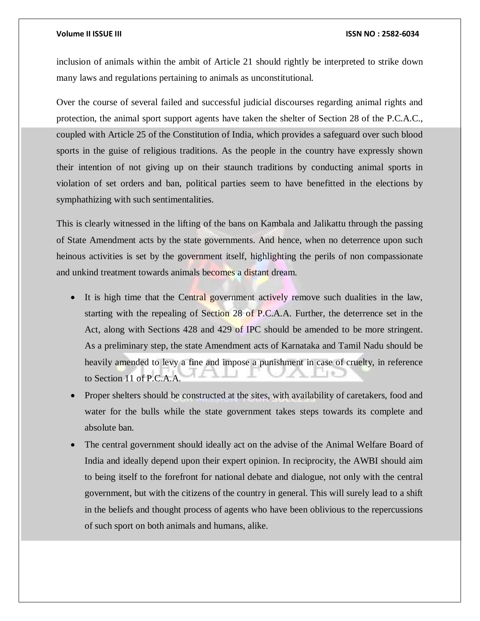### **Volume II ISSUE III ISSN NO : 2582-6034**

inclusion of animals within the ambit of Article 21 should rightly be interpreted to strike down many laws and regulations pertaining to animals as unconstitutional.

Over the course of several failed and successful judicial discourses regarding animal rights and protection, the animal sport support agents have taken the shelter of Section 28 of the P.C.A.C., coupled with Article 25 of the Constitution of India, which provides a safeguard over such blood sports in the guise of religious traditions. As the people in the country have expressly shown their intention of not giving up on their staunch traditions by conducting animal sports in violation of set orders and ban, political parties seem to have benefitted in the elections by symphathizing with such sentimentalities.

This is clearly witnessed in the lifting of the bans on Kambala and Jalikattu through the passing of State Amendment acts by the state governments. And hence, when no deterrence upon such heinous activities is set by the government itself, highlighting the perils of non compassionate and unkind treatment towards animals becomes a distant dream.

- It is high time that the Central government actively remove such dualities in the law, starting with the repealing of Section 28 of P.C.A.A. Further, the deterrence set in the Act, along with Sections 428 and 429 of IPC should be amended to be more stringent. As a preliminary step, the state Amendment acts of Karnataka and Tamil Nadu should be heavily amended to levy a fine and impose a punishment in case of cruelty, in reference to Section 11 of P.C.A.A.
- Proper shelters should be constructed at the sites, with availability of caretakers, food and water for the bulls while the state government takes steps towards its complete and absolute ban.
- The central government should ideally act on the advise of the Animal Welfare Board of India and ideally depend upon their expert opinion. In reciprocity, the AWBI should aim to being itself to the forefront for national debate and dialogue, not only with the central government, but with the citizens of the country in general. This will surely lead to a shift in the beliefs and thought process of agents who have been oblivious to the repercussions of such sport on both animals and humans, alike.